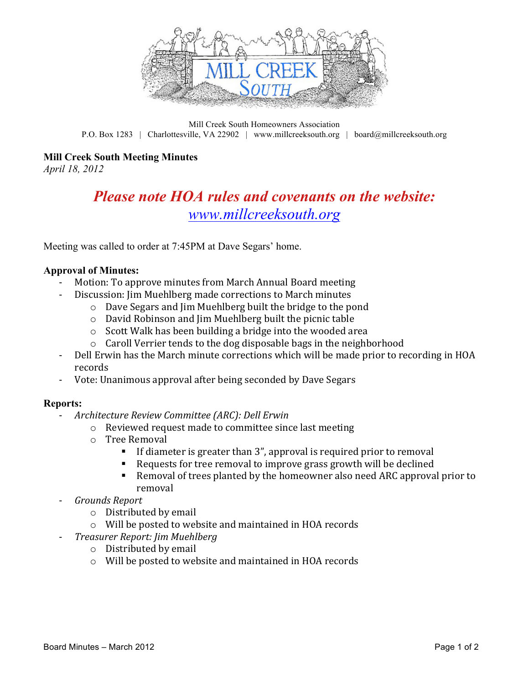

Mill Creek South Homeowners Association P.O. Box 1283 | Charlottesville, VA 22902 | www.millcreeksouth.org | board@millcreeksouth.org

## **Mill Creek South Meeting Minutes**

*April 18, 2012*

# *Please note HOA rules and covenants on the website: www.millcreeksouth.org*

Meeting was called to order at 7:45PM at Dave Segars' home.

#### **Approval of Minutes:**

- Motion: To approve minutes from March Annual Board meeting
	- Discussion: Jim Muehlberg made corrections to March minutes
		- $\circ$  Dave Segars and Jim Muehlberg built the bridge to the pond
		- $\circ$  David Robinson and Jim Muehlberg built the picnic table
		- $\circ$  Scott Walk has been building a bridge into the wooded area
		- $\circ$  Caroll Verrier tends to the dog disposable bags in the neighborhood
- Dell Erwin has the March minute corrections which will be made prior to recording in HOA records
- Vote: Unanimous approval after being seconded by Dave Segars

### **Reports:**

- *Architecture Review Committee (ARC): Dell Erwin* 
	- o Reviewed request made to committee since last meeting
	- $\circ$  Tree Removal
		- If diameter is greater than  $3$ ", approval is required prior to removal
		- Requests for tree removal to improve grass growth will be declined
		- Removal of trees planted by the homeowner also need ARC approval prior to removal
- *Grounds Report*
	- $\circ$  Distributed by email
	- $\circ$  Will be posted to website and maintained in HOA records
- *Treasurer Report: Jim Muehlberg*
	- $\circ$  Distributed by email
	- $\circ$  Will be posted to website and maintained in HOA records